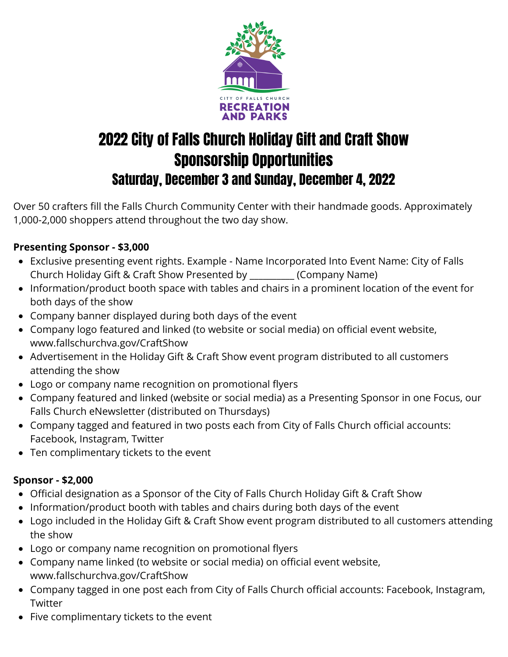

# 2022 City of Falls Church Holiday Gift and Craft Show Sponsorship Opportunities Saturday, December 3 and Sunday, December 4, 2022

Over 50 crafters fill the Falls Church Community Center with their handmade goods. Approximately 1,000-2,000 shoppers attend throughout the two day show.

## **Presenting Sponsor - \$3,000**

- Exclusive presenting event rights. Example Name Incorporated Into Event Name: City of Falls Church Holiday Gift & Craft Show Presented by \_\_\_\_\_\_\_\_\_\_ (Company Name)
- Information/product booth space with tables and chairs in a prominent location of the event for both days of the show
- Company banner displayed during both days of the event
- Company logo featured and linked (to website or social media) on official event website, www.fallschurchva.gov/CraftShow
- Advertisement in the Holiday Gift & Craft Show event program distributed to all customers attending the show
- Logo or company name recognition on promotional flyers
- Company featured and linked (website or social media) as a Presenting Sponsor in one Focus, our Falls Church eNewsletter (distributed on Thursdays)
- Company tagged and featured in two posts each from City of Falls Church official accounts: Facebook, Instagram, Twitter
- Ten complimentary tickets to the event

### **Sponsor - \$2,000**

- Official designation as a Sponsor of the City of Falls Church Holiday Gift & Craft Show
- Information/product booth with tables and chairs during both days of the event
- Logo included in the Holiday Gift & Craft Show event program distributed to all customers attending the show
- Logo or company name recognition on promotional flyers
- Company name linked (to website or social media) on official event website, www.fallschurchva.gov/CraftShow
- Company tagged in one post each from City of Falls Church official accounts: Facebook, Instagram, **Twitter**
- Five complimentary tickets to the event